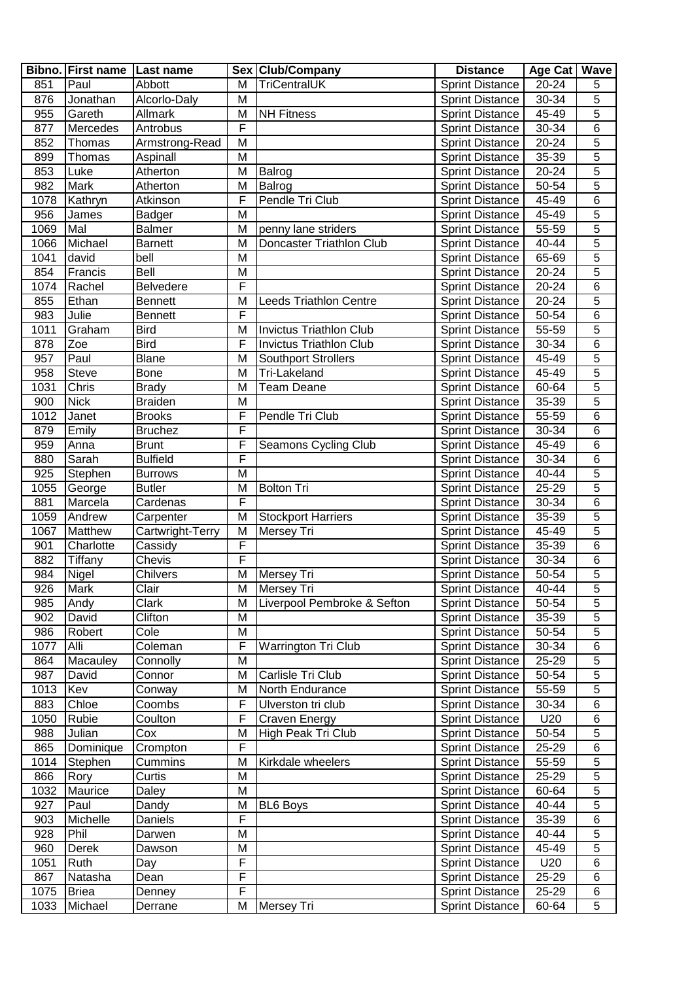|      | Bibno. First name   Last name |                  |   | Sex Club/Company               | <b>Distance</b>        | Age Cat   Wave |                |
|------|-------------------------------|------------------|---|--------------------------------|------------------------|----------------|----------------|
| 851  | Paul                          | Abbott           | M | TriCentralUK                   | <b>Sprint Distance</b> | $20 - 24$      | 5              |
| 876  | Jonathan                      | Alcorlo-Daly     | M |                                | <b>Sprint Distance</b> | 30-34          | 5              |
| 955  | Gareth                        | <b>Allmark</b>   | M | <b>NH Fitness</b>              | <b>Sprint Distance</b> | 45-49          | $\overline{5}$ |
| 877  | Mercedes                      | Antrobus         | F |                                | <b>Sprint Distance</b> | 30-34          | 6              |
| 852  | Thomas                        | Armstrong-Read   | M |                                | <b>Sprint Distance</b> | 20-24          | $\overline{5}$ |
| 899  | Thomas                        | Aspinall         | M |                                | <b>Sprint Distance</b> | 35-39          | $\overline{5}$ |
| 853  | Luke                          | Atherton         | M | Balrog                         | <b>Sprint Distance</b> | 20-24          | $\overline{5}$ |
| 982  | <b>Mark</b>                   | Atherton         | M | Balrog                         | <b>Sprint Distance</b> | 50-54          | $\overline{5}$ |
| 1078 | Kathryn                       | Atkinson         | F | Pendle Tri Club                | <b>Sprint Distance</b> | 45-49          | $\overline{6}$ |
| 956  | James                         | Badger           | M |                                | <b>Sprint Distance</b> | 45-49          | $\overline{5}$ |
| 1069 | Mal                           | <b>Balmer</b>    | M | penny lane striders            | <b>Sprint Distance</b> | 55-59          | 5              |
| 1066 | Michael                       | <b>Barnett</b>   | M | Doncaster Triathlon Club       | <b>Sprint Distance</b> | 40-44          | $\overline{5}$ |
| 1041 | david                         | bell             | M |                                | Sprint Distance        | $65 - 69$      | $\overline{5}$ |
| 854  | Francis                       | Bell             | M |                                | <b>Sprint Distance</b> | $20 - 24$      | $\overline{5}$ |
| 1074 |                               |                  | F |                                |                        |                | $\overline{6}$ |
|      | Rachel                        | <b>Belvedere</b> | M |                                | <b>Sprint Distance</b> | 20-24          | $\overline{5}$ |
| 855  | Ethan                         | <b>Bennett</b>   | F | <b>Leeds Triathlon Centre</b>  | <b>Sprint Distance</b> | 20-24          |                |
| 983  | Julie                         | Bennett          |   |                                | <b>Sprint Distance</b> | 50-54          | $\overline{6}$ |
| 1011 | Graham                        | <b>Bird</b>      | M | <b>Invictus Triathlon Club</b> | <b>Sprint Distance</b> | 55-59          | $\overline{5}$ |
| 878  | Zoe                           | <b>Bird</b>      | F | <b>Invictus Triathlon Club</b> | <b>Sprint Distance</b> | 30-34          | $\overline{6}$ |
| 957  | Paul                          | <b>Blane</b>     | M | <b>Southport Strollers</b>     | <b>Sprint Distance</b> | 45-49          | $\overline{5}$ |
| 958  | <b>Steve</b>                  | <b>Bone</b>      | M | Tri-Lakeland                   | <b>Sprint Distance</b> | 45-49          | $\overline{5}$ |
| 1031 | Chris                         | <b>Brady</b>     | M | <b>Team Deane</b>              | <b>Sprint Distance</b> | 60-64          | $\overline{5}$ |
| 900  | <b>Nick</b>                   | <b>Braiden</b>   | M |                                | <b>Sprint Distance</b> | 35-39          | $\overline{5}$ |
| 1012 | Janet                         | <b>Brooks</b>    | F | Pendle Tri Club                | <b>Sprint Distance</b> | 55-59          | 6              |
| 879  | Emily                         | <b>Bruchez</b>   | F |                                | <b>Sprint Distance</b> | 30-34          | 6              |
| 959  | Anna                          | <b>Brunt</b>     | F | Seamons Cycling Club           | <b>Sprint Distance</b> | 45-49          | 6              |
| 880  | Sarah                         | <b>Bulfield</b>  | F |                                | <b>Sprint Distance</b> | 30-34          | 6              |
| 925  | Stephen                       | <b>Burrows</b>   | M |                                | <b>Sprint Distance</b> | 40-44          | 5              |
| 1055 | George                        | <b>Butler</b>    | M | <b>Bolton Tri</b>              | <b>Sprint Distance</b> | 25-29          | $\overline{5}$ |
| 881  | Marcela                       | Cardenas         | F |                                | <b>Sprint Distance</b> | 30-34          | $\overline{6}$ |
| 1059 | Andrew                        | Carpenter        | M | <b>Stockport Harriers</b>      | <b>Sprint Distance</b> | 35-39          | $\overline{5}$ |
| 1067 | <b>Matthew</b>                | Cartwright-Terry | M | Mersey Tri                     | <b>Sprint Distance</b> | 45-49          | $\overline{5}$ |
| 901  | Charlotte                     | Cassidy          | F |                                | <b>Sprint Distance</b> | 35-39          | 6              |
| 882  | Tiffany                       | Chevis           | F |                                | <b>Sprint Distance</b> | 30-34          | 6              |
| 984  | Nigel                         | <b>Chilvers</b>  | M | <b>Mersey Tri</b>              | <b>Sprint Distance</b> | 50-54          | $\overline{5}$ |
| 926  | Mark                          | Clair            | M | Mersey Tri                     | <b>Sprint Distance</b> | $40 - 44$      | $\overline{5}$ |
| 985  | Andy                          | Clark            | M | Liverpool Pembroke & Sefton    | <b>Sprint Distance</b> | 50-54          | 5              |
| 902  | David                         | Clifton          | M |                                | <b>Sprint Distance</b> | 35-39          | 5              |
| 986  | Robert                        | Cole             | M |                                | <b>Sprint Distance</b> | 50-54          | 5              |
| 1077 | Alli                          | Coleman          | F | <b>Warrington Tri Club</b>     | <b>Sprint Distance</b> | 30-34          | 6              |
| 864  | Macauley                      | Connolly         | M |                                | <b>Sprint Distance</b> | 25-29          | 5              |
| 987  | David                         | Connor           | M | Carlisle Tri Club              | <b>Sprint Distance</b> | 50-54          | $\overline{5}$ |
| 1013 | Kev                           | Conway           | M | North Endurance                | <b>Sprint Distance</b> | 55-59          | 5              |
| 883  | Chloe                         | Coombs           | F | Ulverston tri club             | <b>Sprint Distance</b> | 30-34          | 6              |
| 1050 | Rubie                         | Coulton          | F | Craven Energy                  | <b>Sprint Distance</b> | U20            | 6              |
| 988  | Julian                        | Cox              | M | High Peak Tri Club             | <b>Sprint Distance</b> | 50-54          | $\overline{5}$ |
|      |                               |                  | F |                                |                        |                |                |
| 865  | Dominique                     | Crompton         |   |                                | <b>Sprint Distance</b> | 25-29          | 6              |
| 1014 | Stephen                       | Cummins          | M | Kirkdale wheelers              | <b>Sprint Distance</b> | 55-59          | 5              |
| 866  | Rory                          | Curtis           | M |                                | <b>Sprint Distance</b> | 25-29          | 5              |
| 1032 | Maurice                       | Daley            | M |                                | <b>Sprint Distance</b> | 60-64          | $\overline{5}$ |
| 927  | Paul                          | Dandy            | M | <b>BL6 Boys</b>                | <b>Sprint Distance</b> | 40-44          | $\overline{5}$ |
| 903  | Michelle                      | Daniels          | F |                                | <b>Sprint Distance</b> | 35-39          | 6              |
| 928  | Phil                          | Darwen           | M |                                | <b>Sprint Distance</b> | 40-44          | 5              |
| 960  | Derek                         | Dawson           | M |                                | <b>Sprint Distance</b> | 45-49          | $\overline{5}$ |
| 1051 | Ruth                          | Day              | F |                                | <b>Sprint Distance</b> | U20            | $\overline{6}$ |
| 867  | Natasha                       | Dean             | F |                                | <b>Sprint Distance</b> | 25-29          | 6              |
| 1075 | <b>Briea</b>                  | Denney           | F |                                | <b>Sprint Distance</b> | 25-29          | 6              |
| 1033 | Michael                       | Derrane          | M | Mersey Tri                     | <b>Sprint Distance</b> | 60-64          | $\overline{5}$ |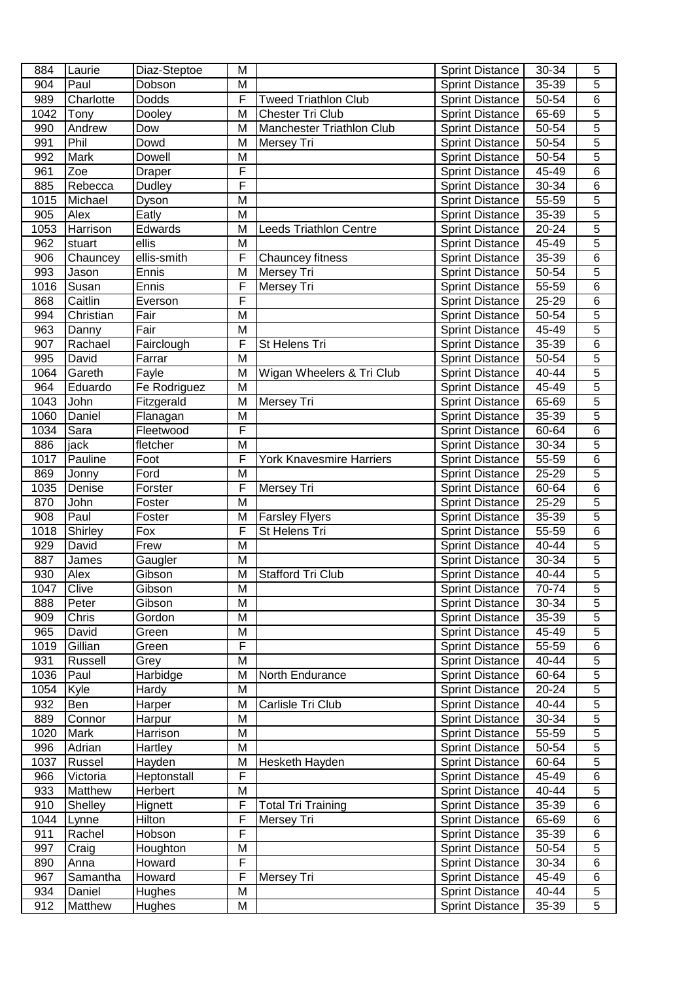| 884         | Laurie         | Diaz-Steptoe      | M              |                                        | <b>Sprint Distance</b>                           | 30-34          | 5                   |
|-------------|----------------|-------------------|----------------|----------------------------------------|--------------------------------------------------|----------------|---------------------|
| 904         | Paul           | Dobson            | M              |                                        | <b>Sprint Distance</b>                           | 35-39          | 5                   |
| 989         | Charlotte      | Dodds             | F              | <b>Tweed Triathlon Club</b>            | <b>Sprint Distance</b>                           | 50-54          | 6                   |
| 1042        | Tony           | Dooley            | M              | Chester Tri Club                       | <b>Sprint Distance</b>                           | 65-69          | $\overline{5}$      |
| 990         | Andrew         | Dow               | M              | Manchester Triathlon Club              | <b>Sprint Distance</b>                           | 50-54          | $\overline{5}$      |
| 991         | Phil           | Dowd              | M              | Mersey Tri                             | <b>Sprint Distance</b>                           | 50-54          | 5                   |
| 992         | <b>Mark</b>    | Dowell            | M              |                                        | <b>Sprint Distance</b>                           | 50-54          | 5                   |
| 961         | Zoe            | <b>Draper</b>     | F              |                                        | <b>Sprint Distance</b>                           | 45-49          | $\overline{6}$      |
| 885         | Rebecca        | Dudley            | F              |                                        | Sprint Distance                                  | 30-34          | $\overline{6}$      |
| 1015        | Michael        | Dyson             | $\overline{M}$ |                                        | <b>Sprint Distance</b>                           | 55-59          | 5                   |
| 905         | Alex           | Eatly             | M              |                                        | <b>Sprint Distance</b>                           | 35-39          | 5                   |
| 1053        | Harrison       | Edwards           | M              | <b>Leeds Triathlon Centre</b>          | <b>Sprint Distance</b>                           | $20 - 24$      | 5                   |
| 962         | stuart         | ellis             | M              |                                        | <b>Sprint Distance</b>                           | 45-49          | 5                   |
| 906         | Chauncey       | ellis-smith       | F              | Chauncey fitness                       | <b>Sprint Distance</b>                           | 35-39          | $\overline{6}$      |
| 993         | Jason          | Ennis             | M              | <b>Mersey Tri</b>                      | <b>Sprint Distance</b>                           | 50-54          | 5                   |
| 1016        | Susan          | Ennis             | F              | Mersey Tri                             | <b>Sprint Distance</b>                           | 55-59          | 6                   |
| 868         | Caitlin        | Everson           | F              |                                        | <b>Sprint Distance</b>                           | 25-29          | 6                   |
| 994         | Christian      | Fair              | M              |                                        | <b>Sprint Distance</b>                           | 50-54          | $\overline{5}$      |
| 963         | Danny          | Fair              | M              |                                        | <b>Sprint Distance</b>                           | 45-49          | 5                   |
| 907         | Rachael        | Fairclough        | F              | St Helens Tri                          | <b>Sprint Distance</b>                           | 35-39          | 6                   |
| 995         | David          | Farrar            | M              |                                        | <b>Sprint Distance</b>                           | 50-54          | $\overline{5}$      |
| 1064        | Gareth         | Fayle             | M              | Wigan Wheelers & Tri Club              | <b>Sprint Distance</b>                           | 40-44          | $\overline{5}$      |
| 964         | Eduardo        | Fe Rodriguez      | M              |                                        | <b>Sprint Distance</b>                           | 45-49          | 5                   |
| 1043        | John           | Fitzgerald        | M              | Mersey Tri                             | <b>Sprint Distance</b>                           | 65-69          | 5                   |
| 1060        | Daniel         | Flanagan          | M              |                                        |                                                  | 35-39          | 5                   |
|             |                |                   | F              |                                        | <b>Sprint Distance</b>                           |                |                     |
| 1034        | Sara           | Fleetwood         | M              |                                        | <b>Sprint Distance</b>                           | 60-64          | 6<br>5              |
| 886         | jack           | fletcher          | F              |                                        | <b>Sprint Distance</b>                           | 30-34          |                     |
| 1017        | Pauline        | Foot              |                | <b>York Knavesmire Harriers</b>        | <b>Sprint Distance</b>                           | 55-59          | 6                   |
| 869         | Jonny          | Ford              | M<br>F         |                                        | <b>Sprint Distance</b>                           | 25-29          | 5                   |
| 1035        | Denise<br>John | Forster           | M              | Mersey Tri                             | <b>Sprint Distance</b>                           | 60-64          | $\overline{6}$<br>5 |
| 870<br>908  | Paul           | Foster<br>Foster  | M              |                                        | <b>Sprint Distance</b>                           | 25-29<br>35-39 | $\overline{5}$      |
| 1018        | Shirley        | Fox               | F              | <b>Farsley Flyers</b><br>St Helens Tri | <b>Sprint Distance</b>                           | 55-59          | $\overline{6}$      |
|             | David          |                   | M              |                                        | <b>Sprint Distance</b>                           | 40-44          | $\overline{5}$      |
| 929<br>887  | James          | Frew              | M              |                                        | <b>Sprint Distance</b>                           | 30-34          | $\overline{5}$      |
| 930         | Alex           | Gaugler<br>Gibson | M              | <b>Stafford Tri Club</b>               | <b>Sprint Distance</b><br><b>Sprint Distance</b> | 40-44          | $\overline{5}$      |
|             | Clive          |                   |                |                                        |                                                  | 70-74          |                     |
| 1047<br>888 | Peter          | Gibson<br>Gibson  | M<br>M         |                                        | <b>Sprint Distance</b><br><b>Sprint Distance</b> | 30-34          | 5<br>$\overline{5}$ |
|             |                |                   |                |                                        |                                                  |                | 5                   |
| 909         | Chris          | Gordon            | M              |                                        | <b>Sprint Distance</b>                           | 35-39          |                     |
| 965         | David          | Green             | M              |                                        | <b>Sprint Distance</b>                           | 45-49          | 5                   |
| 1019        | Gillian        | Green             | F              |                                        | <b>Sprint Distance</b>                           | 55-59          | 6                   |
| 931         | Russell        | Grey              | M              |                                        | <b>Sprint Distance</b>                           | 40-44          | 5                   |
| 1036        | Paul           | Harbidge          | M              | North Endurance                        | <b>Sprint Distance</b>                           | 60-64          | 5                   |
| 1054        | Kyle           | <b>Hardy</b>      | M              |                                        | <b>Sprint Distance</b>                           | 20-24          | 5                   |
| 932         | Ben            | Harper            | M              | Carlisle Tri Club                      | <b>Sprint Distance</b>                           | 40-44          | $\overline{5}$      |
| 889         | Connor         | Harpur            | M              |                                        | <b>Sprint Distance</b>                           | 30-34          | $\overline{5}$      |
| 1020        | <b>Mark</b>    | Harrison          | M              |                                        | <b>Sprint Distance</b>                           | 55-59          | $\overline{5}$      |
| 996         | Adrian         | Hartley           | M              |                                        | <b>Sprint Distance</b>                           | 50-54          | 5                   |
| 1037        | Russel         | Hayden            | M              | Hesketh Hayden                         | <b>Sprint Distance</b>                           | 60-64          | $\overline{5}$      |
| 966         | Victoria       | Heptonstall       | F              |                                        | <b>Sprint Distance</b>                           | 45-49          | 6                   |
| 933         | Matthew        | Herbert           | M              |                                        | <b>Sprint Distance</b>                           | 40-44          | 5                   |
| 910         | Shelley        | Hignett           | F<br>F         | <b>Total Tri Training</b>              | <b>Sprint Distance</b>                           | 35-39          | 6                   |
| 1044        | Lynne          | Hilton            |                | Mersey Tri                             | <b>Sprint Distance</b>                           | 65-69          | 6                   |
| 911         | Rachel         | Hobson            | F              |                                        | <b>Sprint Distance</b>                           | 35-39          | 6                   |
| 997         | Craig          | Houghton          | M              |                                        | <b>Sprint Distance</b>                           | 50-54          | $\overline{5}$      |
| 890         | Anna           | Howard            | F              |                                        | <b>Sprint Distance</b>                           | 30-34          | 6                   |
| 967         | Samantha       | Howard            | F              | Mersey Tri                             | <b>Sprint Distance</b>                           | 45-49          | $\overline{6}$      |
| 934         | Daniel         | Hughes            | M              |                                        | <b>Sprint Distance</b>                           | 40-44          | 5                   |
| 912         | Matthew        | Hughes            | M              |                                        | <b>Sprint Distance</b>                           | 35-39          | 5                   |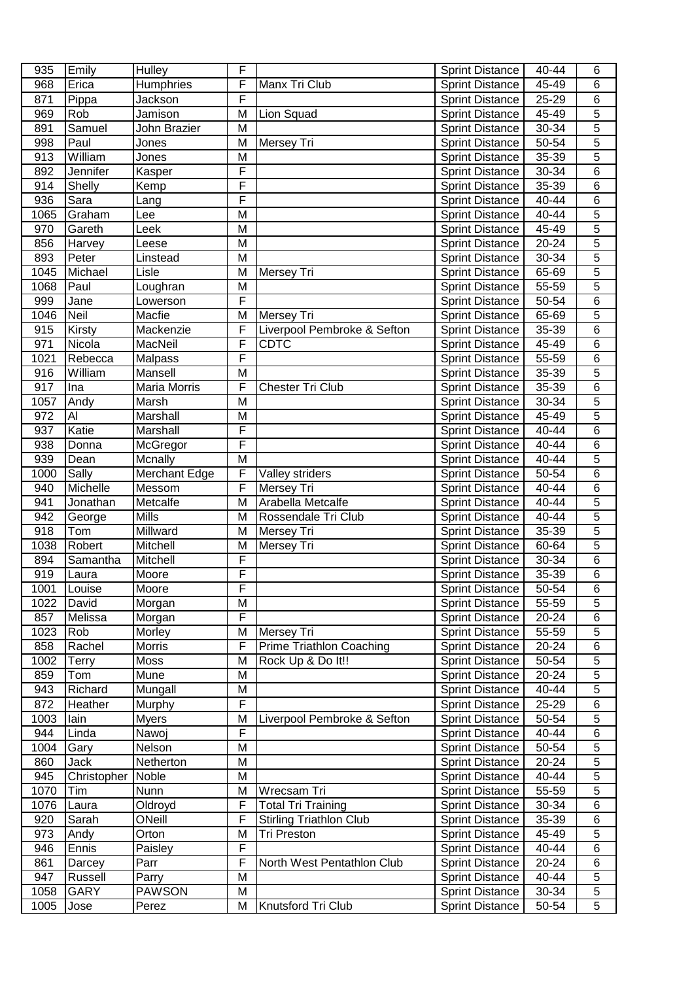| 935  | Emily         | Hulley              | F |                                 | <b>Sprint Distance</b>                           | 40-44 | 6              |
|------|---------------|---------------------|---|---------------------------------|--------------------------------------------------|-------|----------------|
| 968  | Erica         | Humphries           | F | Manx Tri Club                   | <b>Sprint Distance</b>                           | 45-49 | 6              |
| 871  | Pippa         | Jackson             | F |                                 | <b>Sprint Distance</b>                           | 25-29 | 6              |
| 969  | Rob           | Jamison             | M | Lion Squad                      | <b>Sprint Distance</b>                           | 45-49 | $\overline{5}$ |
| 891  | Samuel        | John Brazier        | M |                                 | <b>Sprint Distance</b>                           | 30-34 | $\overline{5}$ |
| 998  | Paul          | Jones               | M | Mersey Tri                      | <b>Sprint Distance</b>                           | 50-54 | 5              |
| 913  | William       | Jones               | M |                                 | <b>Sprint Distance</b>                           | 35-39 | 5              |
| 892  | Jennifer      | Kasper              | F |                                 | <b>Sprint Distance</b>                           | 30-34 | $\overline{6}$ |
| 914  | Shelly        | Kemp                | F |                                 | <b>Sprint Distance</b>                           | 35-39 | 6              |
| 936  | Sara          | Lang                | F |                                 | <b>Sprint Distance</b>                           | 40-44 | 6              |
| 1065 | Graham        | Lee                 | M |                                 | <b>Sprint Distance</b>                           | 40-44 | 5              |
| 970  | Gareth        | Leek                | M |                                 | <b>Sprint Distance</b>                           | 45-49 | $\overline{5}$ |
| 856  | Harvey        | Leese               | M |                                 | <b>Sprint Distance</b>                           | 20-24 | 5              |
| 893  | Peter         | Linstead            | M |                                 | <b>Sprint Distance</b>                           | 30-34 | 5              |
| 1045 | Michael       | Lisle               | M | Mersey Tri                      | <b>Sprint Distance</b>                           | 65-69 | 5              |
| 1068 | Paul          | Loughran            | M |                                 | <b>Sprint Distance</b>                           | 55-59 | 5              |
| 999  | Jane          | Lowerson            | F |                                 | <b>Sprint Distance</b>                           | 50-54 | $\overline{6}$ |
| 1046 | Neil          | Macfie              | M | Mersey Tri                      | <b>Sprint Distance</b>                           | 65-69 | $\overline{5}$ |
| 915  | Kirsty        | Mackenzie           | F | Liverpool Pembroke & Sefton     | <b>Sprint Distance</b>                           | 35-39 | 6              |
| 971  | Nicola        | MacNeil             | F | <b>CDTC</b>                     | <b>Sprint Distance</b>                           | 45-49 | 6              |
| 1021 | Rebecca       | <b>Malpass</b>      | F |                                 | <b>Sprint Distance</b>                           | 55-59 | 6              |
| 916  | William       | Mansell             | M |                                 | <b>Sprint Distance</b>                           | 35-39 | 5              |
| 917  | Ina           | Maria Morris        | F | Chester Tri Club                | <b>Sprint Distance</b>                           | 35-39 | 6              |
| 1057 |               | Marsh               | M |                                 | <b>Sprint Distance</b>                           | 30-34 | 5              |
| 972  | Andy<br>Al    | Marshall            | M |                                 | <b>Sprint Distance</b>                           | 45-49 | 5              |
| 937  | Katie         | Marshall            | F |                                 |                                                  | 40-44 | 6              |
| 938  | Donna         |                     | F |                                 | <b>Sprint Distance</b><br><b>Sprint Distance</b> | 40-44 | 6              |
| 939  |               | McGregor<br>Mcnally | M |                                 |                                                  | 40-44 | 5              |
| 1000 | Dean<br>Sally | Merchant Edge       | F | Valley striders                 | <b>Sprint Distance</b>                           | 50-54 | 6              |
| 940  | Michelle      | Messom              | F | Mersey Tri                      | <b>Sprint Distance</b><br><b>Sprint Distance</b> | 40-44 | 6              |
| 941  | Jonathan      | Metcalfe            | M | Arabella Metcalfe               | <b>Sprint Distance</b>                           | 40-44 | 5              |
| 942  | George        | <b>Mills</b>        | M | Rossendale Tri Club             | <b>Sprint Distance</b>                           | 40-44 | $\overline{5}$ |
| 918  | Tom           | Millward            | M | Mersey Tri                      | <b>Sprint Distance</b>                           | 35-39 | $\overline{5}$ |
| 1038 | Robert        | Mitchell            | M | Mersey Tri                      | <b>Sprint Distance</b>                           | 60-64 | $\overline{5}$ |
| 894  | Samantha      | Mitchell            | F |                                 | <b>Sprint Distance</b>                           | 30-34 | $\overline{6}$ |
| 919  | Laura         | Moore               | F |                                 | <b>Sprint Distance</b>                           | 35-39 | 6              |
| 1001 | <b>Louise</b> | Moore               | ۲ |                                 | <b>Sprint Distance</b>                           | 50-54 | 6              |
| 1022 | David         | Morgan              | M |                                 | <b>Sprint Distance</b>                           | 55-59 | $\overline{5}$ |
| 857  | Melissa       | Morgan              | F |                                 | <b>Sprint Distance</b>                           | 20-24 | 6              |
| 1023 | Rob           | Morley              | M | <b>Mersey Tri</b>               | <b>Sprint Distance</b>                           | 55-59 | 5              |
| 858  | Rachel        | Morris              | F | <b>Prime Triathlon Coaching</b> | <b>Sprint Distance</b>                           | 20-24 | 6              |
| 1002 | <b>Terry</b>  | Moss                | M | Rock Up & Do It!!               | <b>Sprint Distance</b>                           | 50-54 | 5              |
| 859  | Tom           | Mune                | M |                                 | <b>Sprint Distance</b>                           | 20-24 | 5              |
| 943  | Richard       | Mungall             | M |                                 | <b>Sprint Distance</b>                           | 40-44 | 5              |
| 872  | Heather       | Murphy              | F |                                 | <b>Sprint Distance</b>                           | 25-29 | 6              |
| 1003 | lain          | <b>Myers</b>        | M | Liverpool Pembroke & Sefton     | <b>Sprint Distance</b>                           | 50-54 | $\overline{5}$ |
| 944  | Linda         | Nawoj               | F |                                 | <b>Sprint Distance</b>                           | 40-44 | 6              |
| 1004 | Gary          | Nelson              | M |                                 | <b>Sprint Distance</b>                           | 50-54 | 5              |
| 860  | Jack          | Netherton           | M |                                 | <b>Sprint Distance</b>                           | 20-24 | $\overline{5}$ |
| 945  | Christopher   | Noble               | M |                                 | <b>Sprint Distance</b>                           | 40-44 | $\overline{5}$ |
| 1070 | Tim           | <b>Nunn</b>         | M | Wrecsam Tri                     | <b>Sprint Distance</b>                           | 55-59 | $\overline{5}$ |
| 1076 | Laura         | Oldroyd             | F | <b>Total Tri Training</b>       | <b>Sprint Distance</b>                           | 30-34 | 6              |
| 920  | Sarah         | ONeill              | F | <b>Stirling Triathlon Club</b>  | <b>Sprint Distance</b>                           | 35-39 | $\overline{6}$ |
| 973  | Andy          | Orton               | M | Tri Preston                     | Sprint Distance                                  | 45-49 | $\overline{5}$ |
| 946  | Ennis         | Paisley             | F |                                 | <b>Sprint Distance</b>                           | 40-44 | $\overline{6}$ |
| 861  | Darcey        | Parr                | F | North West Pentathlon Club      | <b>Sprint Distance</b>                           | 20-24 | 6              |
| 947  | Russell       | Parry               | M |                                 | <b>Sprint Distance</b>                           | 40-44 | $\overline{5}$ |
| 1058 | <b>GARY</b>   | <b>PAWSON</b>       | M |                                 | <b>Sprint Distance</b>                           | 30-34 | $\overline{5}$ |
| 1005 | Jose          | Perez               | M | Knutsford Tri Club              | <b>Sprint Distance</b>                           | 50-54 | 5              |
|      |               |                     |   |                                 |                                                  |       |                |